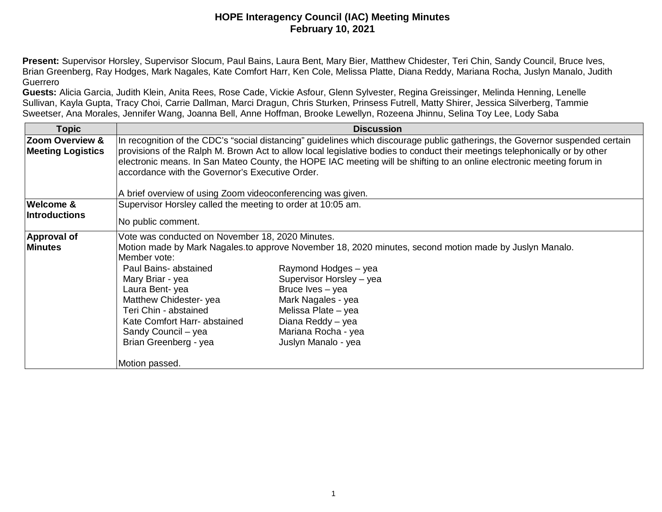**Present:** Supervisor Horsley, Supervisor Slocum, Paul Bains, Laura Bent, Mary Bier, Matthew Chidester, Teri Chin, Sandy Council, Bruce Ives, Brian Greenberg, Ray Hodges, Mark Nagales, Kate Comfort Harr, Ken Cole, Melissa Platte, Diana Reddy, Mariana Rocha, Juslyn Manalo, Judith Guerrero

**Guests:** Alicia Garcia, Judith Klein, Anita Rees, Rose Cade, Vickie Asfour, Glenn Sylvester, Regina Greissinger, Melinda Henning, Lenelle Sullivan, Kayla Gupta, Tracy Choi, Carrie Dallman, Marci Dragun, Chris Sturken, Prinsess Futrell, Matty Shirer, Jessica Silverberg, Tammie Sweetser, Ana Morales, Jennifer Wang, Joanna Bell, Anne Hoffman, Brooke Lewellyn, Rozeena Jhinnu, Selina Toy Lee, Lody Saba

| <b>Topic</b>               |                                                                                                                               | <b>Discussion</b>                                                                                                     |  |
|----------------------------|-------------------------------------------------------------------------------------------------------------------------------|-----------------------------------------------------------------------------------------------------------------------|--|
| <b>Zoom Overview &amp;</b> | In recognition of the CDC's "social distancing" guidelines which discourage public gatherings, the Governor suspended certain |                                                                                                                       |  |
| <b>Meeting Logistics</b>   | provisions of the Ralph M. Brown Act to allow local legislative bodies to conduct their meetings telephonically or by other   |                                                                                                                       |  |
|                            |                                                                                                                               | electronic means. In San Mateo County, the HOPE IAC meeting will be shifting to an online electronic meeting forum in |  |
|                            | accordance with the Governor's Executive Order.                                                                               |                                                                                                                       |  |
|                            |                                                                                                                               |                                                                                                                       |  |
|                            | A brief overview of using Zoom videoconferencing was given.                                                                   |                                                                                                                       |  |
| <b>Welcome &amp;</b>       | Supervisor Horsley called the meeting to order at 10:05 am.                                                                   |                                                                                                                       |  |
| <b>Introductions</b>       |                                                                                                                               |                                                                                                                       |  |
|                            | No public comment.                                                                                                            |                                                                                                                       |  |
| <b>Approval of</b>         | Vote was conducted on November 18, 2020 Minutes.                                                                              |                                                                                                                       |  |
| <b>Minutes</b>             | Motion made by Mark Nagales to approve November 18, 2020 minutes, second motion made by Juslyn Manalo.                        |                                                                                                                       |  |
|                            | Member vote:                                                                                                                  |                                                                                                                       |  |
|                            | Paul Bains- abstained                                                                                                         | Raymond Hodges - yea                                                                                                  |  |
|                            | Mary Briar - yea                                                                                                              | Supervisor Horsley - yea                                                                                              |  |
|                            | Laura Bent-yea                                                                                                                | Bruce Ives - yea                                                                                                      |  |
|                            | Matthew Chidester-yea                                                                                                         | Mark Nagales - yea                                                                                                    |  |
|                            | Teri Chin - abstained                                                                                                         | Melissa Plate - yea                                                                                                   |  |
|                            | Kate Comfort Harr- abstained                                                                                                  | Diana Reddy - yea                                                                                                     |  |
|                            | Sandy Council - yea                                                                                                           | Mariana Rocha - yea                                                                                                   |  |
|                            | Brian Greenberg - yea                                                                                                         | Juslyn Manalo - yea                                                                                                   |  |
|                            | Motion passed.                                                                                                                |                                                                                                                       |  |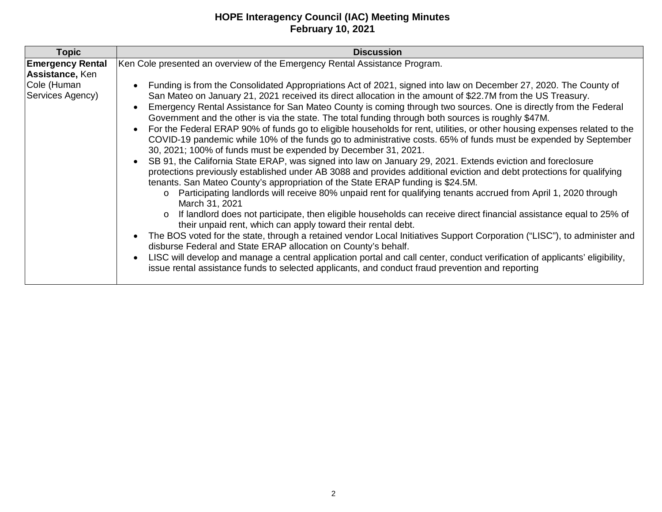| <b>Topic</b>                               | <b>Discussion</b>                                                                                                                                                                                                                                                                                                                                                                                                                                                                                                                                                                                                                                                                                                                                                                                                                                                                                                                                                                                                                                                                                                                                                                                                                                                                                                                                                                                                                                                                                                                                                                                                                                                                                                                                                                                                                                                                                                  |
|--------------------------------------------|--------------------------------------------------------------------------------------------------------------------------------------------------------------------------------------------------------------------------------------------------------------------------------------------------------------------------------------------------------------------------------------------------------------------------------------------------------------------------------------------------------------------------------------------------------------------------------------------------------------------------------------------------------------------------------------------------------------------------------------------------------------------------------------------------------------------------------------------------------------------------------------------------------------------------------------------------------------------------------------------------------------------------------------------------------------------------------------------------------------------------------------------------------------------------------------------------------------------------------------------------------------------------------------------------------------------------------------------------------------------------------------------------------------------------------------------------------------------------------------------------------------------------------------------------------------------------------------------------------------------------------------------------------------------------------------------------------------------------------------------------------------------------------------------------------------------------------------------------------------------------------------------------------------------|
| <b>Emergency Rental</b><br>Assistance, Ken | Ken Cole presented an overview of the Emergency Rental Assistance Program.                                                                                                                                                                                                                                                                                                                                                                                                                                                                                                                                                                                                                                                                                                                                                                                                                                                                                                                                                                                                                                                                                                                                                                                                                                                                                                                                                                                                                                                                                                                                                                                                                                                                                                                                                                                                                                         |
| Cole (Human<br>Services Agency)            | Funding is from the Consolidated Appropriations Act of 2021, signed into law on December 27, 2020. The County of<br>San Mateo on January 21, 2021 received its direct allocation in the amount of \$22.7M from the US Treasury.<br>Emergency Rental Assistance for San Mateo County is coming through two sources. One is directly from the Federal<br>Government and the other is via the state. The total funding through both sources is roughly \$47M.<br>For the Federal ERAP 90% of funds go to eligible households for rent, utilities, or other housing expenses related to the<br>$\bullet$<br>COVID-19 pandemic while 10% of the funds go to administrative costs. 65% of funds must be expended by September<br>30, 2021; 100% of funds must be expended by December 31, 2021.<br>SB 91, the California State ERAP, was signed into law on January 29, 2021. Extends eviction and foreclosure<br>protections previously established under AB 3088 and provides additional eviction and debt protections for qualifying<br>tenants. San Mateo County's appropriation of the State ERAP funding is \$24.5M.<br>Participating landlords will receive 80% unpaid rent for qualifying tenants accrued from April 1, 2020 through<br>$\circ$<br>March 31, 2021<br>If landlord does not participate, then eligible households can receive direct financial assistance equal to 25% of<br>$\circ$<br>their unpaid rent, which can apply toward their rental debt.<br>The BOS voted for the state, through a retained vendor Local Initiatives Support Corporation ("LISC"), to administer and<br>$\bullet$<br>disburse Federal and State ERAP allocation on County's behalf.<br>LISC will develop and manage a central application portal and call center, conduct verification of applicants' eligibility,<br>issue rental assistance funds to selected applicants, and conduct fraud prevention and reporting |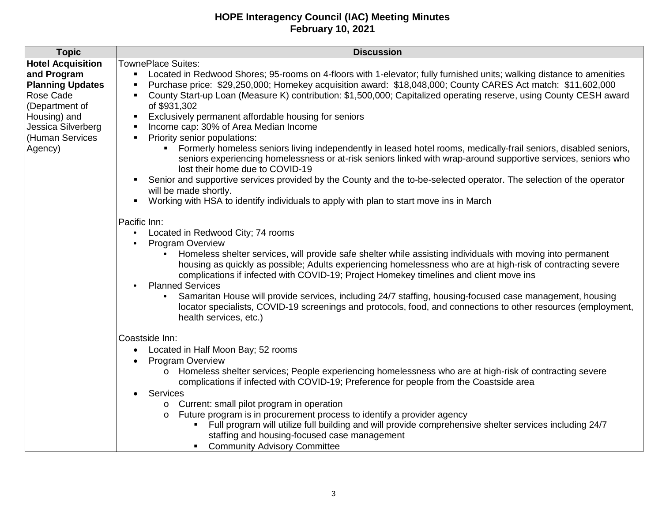| <b>Topic</b>             | <b>Discussion</b>                                                                                                                                                                                                                                                                                                    |  |
|--------------------------|----------------------------------------------------------------------------------------------------------------------------------------------------------------------------------------------------------------------------------------------------------------------------------------------------------------------|--|
| <b>Hotel Acquisition</b> | <b>TownePlace Suites:</b>                                                                                                                                                                                                                                                                                            |  |
| and Program              | Located in Redwood Shores; 95-rooms on 4-floors with 1-elevator; fully furnished units; walking distance to amenities                                                                                                                                                                                                |  |
| <b>Planning Updates</b>  | Purchase price: \$29,250,000; Homekey acquisition award: \$18,048,000; County CARES Act match: \$11,602,000                                                                                                                                                                                                          |  |
| Rose Cade                | County Start-up Loan (Measure K) contribution: \$1,500,000; Capitalized operating reserve, using County CESH award                                                                                                                                                                                                   |  |
| (Department of           | of \$931,302                                                                                                                                                                                                                                                                                                         |  |
| Housing) and             | Exclusively permanent affordable housing for seniors                                                                                                                                                                                                                                                                 |  |
| Jessica Silverberg       | Income cap: 30% of Area Median Income                                                                                                                                                                                                                                                                                |  |
| (Human Services          | Priority senior populations:                                                                                                                                                                                                                                                                                         |  |
| Agency)                  | Formerly homeless seniors living independently in leased hotel rooms, medically-frail seniors, disabled seniors,<br>seniors experiencing homelessness or at-risk seniors linked with wrap-around supportive services, seniors who<br>lost their home due to COVID-19                                                 |  |
|                          | Senior and supportive services provided by the County and the to-be-selected operator. The selection of the operator<br>will be made shortly.                                                                                                                                                                        |  |
|                          | Working with HSA to identify individuals to apply with plan to start move ins in March                                                                                                                                                                                                                               |  |
|                          |                                                                                                                                                                                                                                                                                                                      |  |
|                          | Pacific Inn:<br>Located in Redwood City; 74 rooms<br>$\bullet$                                                                                                                                                                                                                                                       |  |
|                          | Program Overview                                                                                                                                                                                                                                                                                                     |  |
|                          | Homeless shelter services, will provide safe shelter while assisting individuals with moving into permanent<br>housing as quickly as possible; Adults experiencing homelessness who are at high-risk of contracting severe<br>complications if infected with COVID-19; Project Homekey timelines and client move ins |  |
|                          | <b>Planned Services</b>                                                                                                                                                                                                                                                                                              |  |
|                          | Samaritan House will provide services, including 24/7 staffing, housing-focused case management, housing<br>locator specialists, COVID-19 screenings and protocols, food, and connections to other resources (employment,<br>health services, etc.)                                                                  |  |
|                          | Coastside Inn:                                                                                                                                                                                                                                                                                                       |  |
|                          | Located in Half Moon Bay; 52 rooms<br>$\bullet$                                                                                                                                                                                                                                                                      |  |
|                          | <b>Program Overview</b>                                                                                                                                                                                                                                                                                              |  |
|                          | o Homeless shelter services; People experiencing homelessness who are at high-risk of contracting severe<br>complications if infected with COVID-19; Preference for people from the Coastside area                                                                                                                   |  |
|                          | Services                                                                                                                                                                                                                                                                                                             |  |
|                          | o Current: small pilot program in operation                                                                                                                                                                                                                                                                          |  |
|                          | Future program is in procurement process to identify a provider agency<br>$\circ$                                                                                                                                                                                                                                    |  |
|                          | Full program will utilize full building and will provide comprehensive shelter services including 24/7                                                                                                                                                                                                               |  |
|                          | staffing and housing-focused case management                                                                                                                                                                                                                                                                         |  |
|                          | • Community Advisory Committee                                                                                                                                                                                                                                                                                       |  |